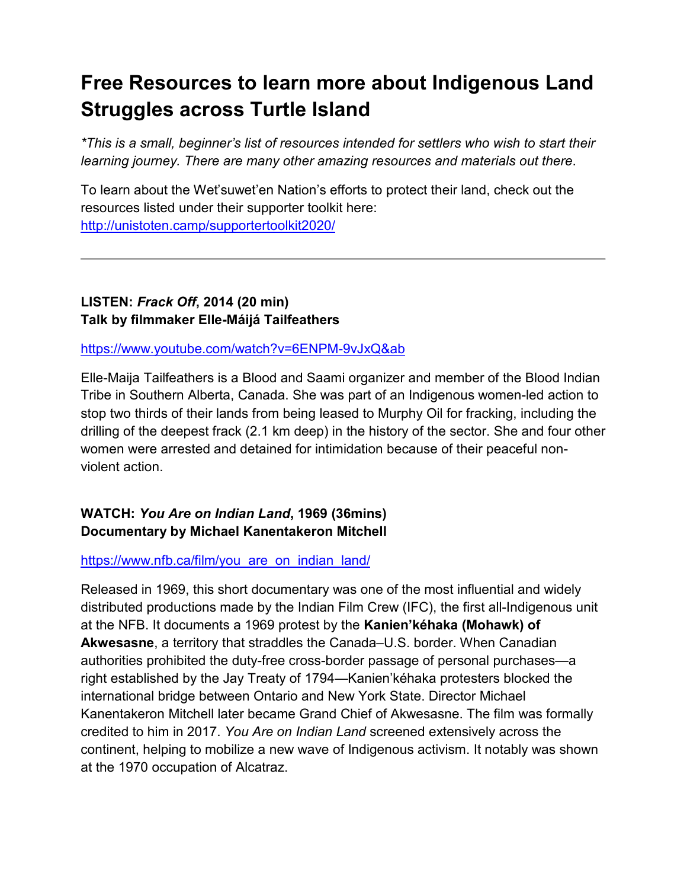# **Free Resources to learn more about Indigenous Land Struggles across Turtle Island**

*\*This is a small, beginner's list of resources intended for settlers who wish to start their learning journey. There are many other amazing resources and materials out there*.

To learn about the Wet'suwet'en Nation's efforts to protect their land, check out the resources listed under their supporter toolkit here: <http://unistoten.camp/supportertoolkit2020/>

# **LISTEN:** *Frack Off***, 2014 (20 min) Talk by filmmaker Elle-Máijá Tailfeathers**

<https://www.youtube.com/watch?v=6ENPM-9vJxQ&ab>

Elle-Maija Tailfeathers is a Blood and Saami organizer and member of the Blood Indian Tribe in Southern Alberta, Canada. She was part of an Indigenous women-led action to stop two thirds of their lands from being leased to Murphy Oil for fracking, including the drilling of the deepest frack (2.1 km deep) in the history of the sector. She and four other women were arrested and detained for intimidation because of their peaceful nonviolent action.

## **WATCH:** *You Are on Indian Land***, 1969 (36mins) Documentary by Michael Kanentakeron Mitchell**

## [https://www.nfb.ca/film/you\\_are\\_on\\_indian\\_land/](https://www.nfb.ca/film/you_are_on_indian_land/)

Released in 1969, this short documentary was one of the most influential and widely distributed productions made by the Indian Film Crew (IFC), the first all-Indigenous unit at the NFB. It documents a 1969 protest by the **Kanien'kéhaka (Mohawk) of Akwesasne**, a territory that straddles the Canada–U.S. border. When Canadian authorities prohibited the duty-free cross-border passage of personal purchases—a right established by the Jay Treaty of 1794—Kanien'kéhaka protesters blocked the international bridge between Ontario and New York State. Director Michael Kanentakeron Mitchell later became Grand Chief of Akwesasne. The film was formally credited to him in 2017. *You Are on Indian Land* screened extensively across the continent, helping to mobilize a new wave of Indigenous activism. It notably was shown at the 1970 occupation of Alcatraz.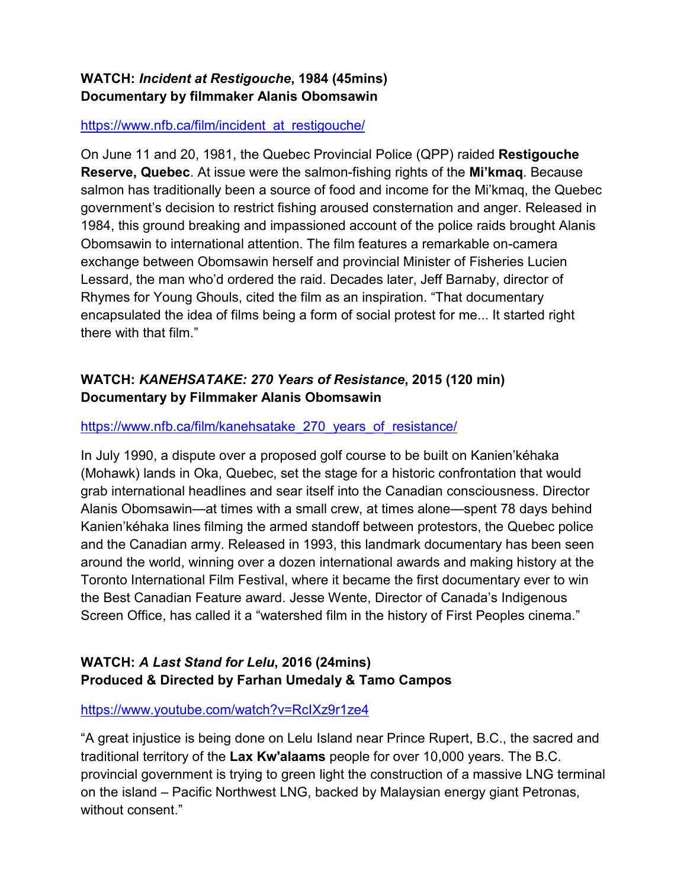## **WATCH:** *Incident at Restigouche***, 1984 (45mins) Documentary by filmmaker [Alanis Obomsawin](https://www.nfb.ca/directors/alanis-obomsawin/)**

#### [https://www.nfb.ca/film/incident\\_at\\_restigouche/](https://www.nfb.ca/film/incident_at_restigouche/)

On June 11 and 20, 1981, the Quebec Provincial Police (QPP) raided **Restigouche Reserve, Quebec**. At issue were the salmon-fishing rights of the **Mi'kmaq**. Because salmon has traditionally been a source of food and income for the Mi'kmaq, the Quebec government's decision to restrict fishing aroused consternation and anger. Released in 1984, this ground breaking and impassioned account of the police raids brought Alanis Obomsawin to international attention. The film features a remarkable on-camera exchange between Obomsawin herself and provincial Minister of Fisheries Lucien Lessard, the man who'd ordered the raid. Decades later, Jeff Barnaby, director of Rhymes for Young Ghouls, cited the film as an inspiration. "That documentary encapsulated the idea of films being a form of social protest for me... It started right there with that film."

# **WATCH:** *KANEHSATAKE: 270 Years of Resistance***, 2015 (120 min) Documentary by Filmmaker Alanis Obomsawin**

#### [https://www.nfb.ca/film/kanehsatake\\_270\\_years\\_of\\_resistance/](https://www.nfb.ca/film/kanehsatake_270_years_of_resistance/)

In July 1990, a dispute over a proposed golf course to be built on Kanien'kéhaka (Mohawk) lands in Oka, Quebec, set the stage for a historic confrontation that would grab international headlines and sear itself into the Canadian consciousness. Director Alanis Obomsawin—at times with a small crew, at times alone—spent 78 days behind Kanien'kéhaka lines filming the armed standoff between protestors, the Quebec police and the Canadian army. Released in 1993, this landmark documentary has been seen around the world, winning over a dozen international awards and making history at the Toronto International Film Festival, where it became the first documentary ever to win the Best Canadian Feature award. Jesse Wente, Director of Canada's Indigenous Screen Office, has called it a "watershed film in the history of First Peoples cinema."

## **WATCH:** *A Last Stand for Lelu***, 2016 (24mins) Produced & Directed by Farhan Umedaly & Tamo Campos**

<https://www.youtube.com/watch?v=RcIXz9r1ze4>

"A great injustice is being done on Lelu Island near Prince Rupert, B.C., the sacred and traditional territory of the **Lax Kw'alaams** people for over 10,000 years. The B.C. provincial government is trying to green light the construction of a massive LNG terminal on the island – Pacific Northwest LNG, backed by Malaysian energy giant Petronas, without consent."